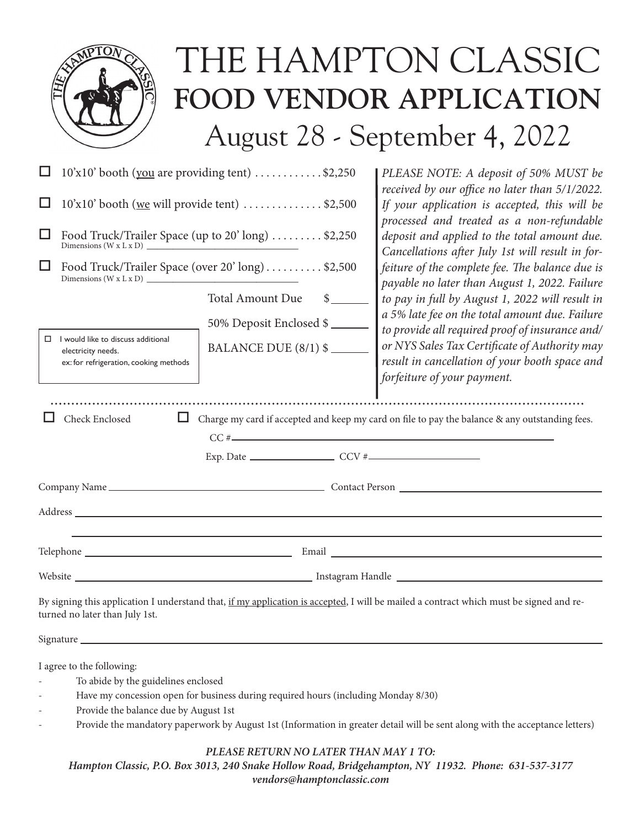|                                                                                                                                                                                                                                                                                                                                                                                                            | THE HAMPTON CLASSIC<br>FOOD VENDOR APPLICATION<br>August 28 - September 4, 2022                                                                                                                                                                                                                                                                                                                                                                                                                                                                                                                                                                                                         |
|------------------------------------------------------------------------------------------------------------------------------------------------------------------------------------------------------------------------------------------------------------------------------------------------------------------------------------------------------------------------------------------------------------|-----------------------------------------------------------------------------------------------------------------------------------------------------------------------------------------------------------------------------------------------------------------------------------------------------------------------------------------------------------------------------------------------------------------------------------------------------------------------------------------------------------------------------------------------------------------------------------------------------------------------------------------------------------------------------------------|
| 10'x10' booth (you are providing tent) \$2,250<br>10'x10' booth (we will provide tent) \$2,500<br>Food Truck/Trailer Space (over 20' long)  \$2,500<br><b>Total Amount Due</b><br>s<br>50% Deposit Enclosed \$<br>I would like to discuss additional<br>□<br>BALANCE DUE (8/1) \$<br>electricity needs.<br>ex: for refrigeration, cooking methods                                                          | PLEASE NOTE: A deposit of 50% MUST be<br>received by our office no later than 5/1/2022.<br>If your application is accepted, this will be<br>processed and treated as a non-refundable<br>deposit and applied to the total amount due.<br>Cancellations after July 1st will result in for-<br>feiture of the complete fee. The balance due is<br>payable no later than August 1, 2022. Failure<br>to pay in full by August 1, 2022 will result in<br>a 5% late fee on the total amount due. Failure<br>to provide all required proof of insurance and/<br>or NYS Sales Tax Certificate of Authority may<br>result in cancellation of your booth space and<br>forfeiture of your payment. |
| Check Enclosed                                                                                                                                                                                                                                                                                                                                                                                             | Charge my card if accepted and keep my card on file to pay the balance & any outstanding fees.                                                                                                                                                                                                                                                                                                                                                                                                                                                                                                                                                                                          |
| Website News Contract of the United States of the United States and Third States and Third States and Third States and Third States and Third States and Third States and Third States and Third States and Third States and T<br>By signing this application I understand that, if my application is accepted, I will be mailed a contract which must be signed and re-<br>turned no later than July 1st. |                                                                                                                                                                                                                                                                                                                                                                                                                                                                                                                                                                                                                                                                                         |
|                                                                                                                                                                                                                                                                                                                                                                                                            |                                                                                                                                                                                                                                                                                                                                                                                                                                                                                                                                                                                                                                                                                         |

I agree to the following:

- To abide by the guidelines enclosed
- Have my concession open for business during required hours (including Monday 8/30)
- Provide the balance due by August 1st
- Provide the mandatory paperwork by August 1st (Information in greater detail will be sent along with the acceptance letters)

## *PLEASE RETURN NO LATER THAN MAY 1 TO:*

*Hampton Classic, P.O. Box 3013, 240 Snake Hollow Road, Bridgehampton, NY 11932. Phone: 631-537-3177 vendors@hamptonclassic.com*